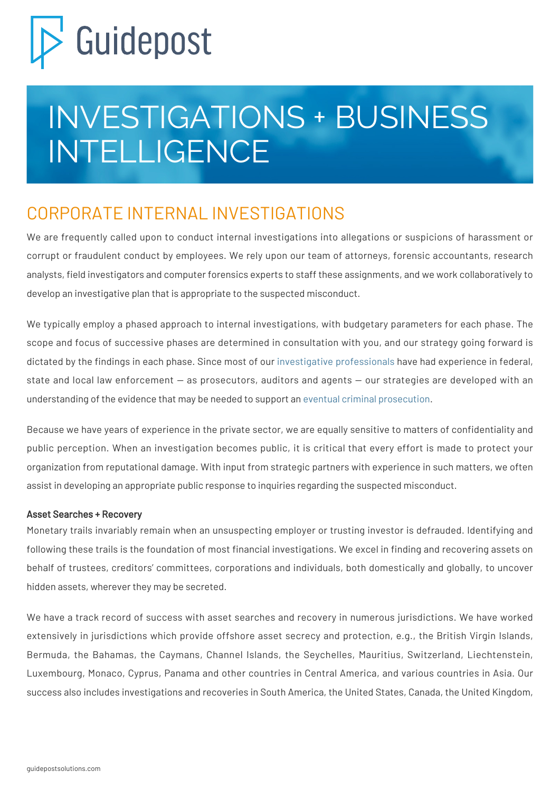# Guidepost

## INVESTIGATIONS + BUSINESS INTELLIGENCE

### CORPORATE INTERNAL INVESTIGATIONS

We are frequently called upon to conduct internal investigations into allegations or suspicions of harassment or corrupt or fraudulent conduct by employees. We rely upon our team of attorneys, forensic accountants, research analysts, field investigators and computer forensics experts to staff these assignments, and we work collaboratively to develop an investigative plan that is appropriate to the suspected misconduct.

We typically employ a phased approach to internal investigations, with budgetary parameters for each phase. The scope and focus of successive phases are determined in consultation with you, and our strategy going forward is dictated by the findings in each phase. Since most of our [investigative professionals](https://guidepostsolutions.com/experts/) have had experience in federal, state and local law enforcement — as prosecutors, auditors and agents — our strategies are developed with an understanding of the evidence that may be needed to support an [eventual criminal prosecution](https://guidepostsolutions.com/solutions/litigation-support/).

Because we have years of experience in the private sector, we are equally sensitive to matters of confidentiality and public perception. When an investigation becomes public, it is critical that every effort is made to protect your organization from reputational damage. With input from strategic partners with experience in such matters, we often assist in developing an appropriate public response to inquiries regarding the suspected misconduct.

#### Asset Searches + Recovery

Monetary trails invariably remain when an unsuspecting employer or trusting investor is defrauded. Identifying and following these trails is the foundation of most financial investigations. We excel in finding and recovering assets on behalf of trustees, creditors' committees, corporations and individuals, both domestically and globally, to uncover hidden assets, wherever they may be secreted.

We have a track record of success with asset searches and recovery in numerous jurisdictions. We have worked extensively in jurisdictions which provide offshore asset secrecy and protection, e.g., the British Virgin Islands, Bermuda, the Bahamas, the Caymans, Channel Islands, the Seychelles, Mauritius, Switzerland, Liechtenstein, Luxembourg, Monaco, Cyprus, Panama and other countries in Central America, and various countries in Asia. Our success also includes investigations and recoveries in South America, the United States, Canada, the United Kingdom,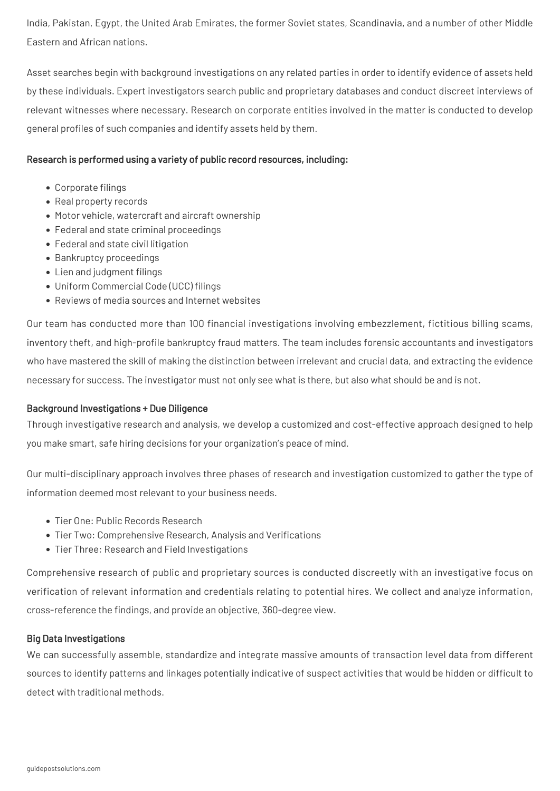India, Pakistan, Egypt, the United Arab Emirates, the former Soviet states, Scandinavia, and a number of other Middle Eastern and African nations.

Asset searches begin with background investigations on any related parties in order to identify evidence of assets held by these individuals. Expert investigators search public and proprietary databases and conduct discreet interviews of relevant witnesses where necessary. Research on corporate entities involved in the matter is conducted to develop general profiles of such companies and identify assets held by them.

#### Research is performed using a variety of public record resources, including:

- Corporate filings
- Real property records
- Motor vehicle, watercraft and aircraft ownership
- Federal and state criminal proceedings
- Federal and state civil litigation
- Bankruptcy proceedings
- Lien and judgment filings
- Uniform Commercial Code (UCC) filings
- Reviews of media sources and Internet websites

Our team has conducted more than 100 financial investigations involving embezzlement, fictitious billing scams, inventory theft, and high-profile bankruptcy fraud matters. The team includes forensic accountants and investigators who have mastered the skill of making the distinction between irrelevant and crucial data, and extracting the evidence necessary for success. The investigator must not only see what is there, but also what should be and is not.

#### Background Investigations + Due Diligence

Through investigative research and analysis, we develop a customized and cost-effective approach designed to help you make smart, safe hiring decisions for your organization's peace of mind.

Our multi-disciplinary approach involves three phases of research and investigation customized to gather the type of information deemed most relevant to your business needs.

- Tier One: Public Records Research
- Tier Two: Comprehensive Research, Analysis and Verifications
- Tier Three: Research and Field Investigations

Comprehensive research of public and proprietary sources is conducted discreetly with an investigative focus on verification of relevant information and credentials relating to potential hires. We collect and analyze information, cross-reference the findings, and provide an objective, 360-degree view.

#### Big Data Investigations

We can successfully assemble, standardize and integrate massive amounts of transaction level data from different sources to identify patterns and linkages potentially indicative of suspect activities that would be hidden or difficult to detect with traditional methods.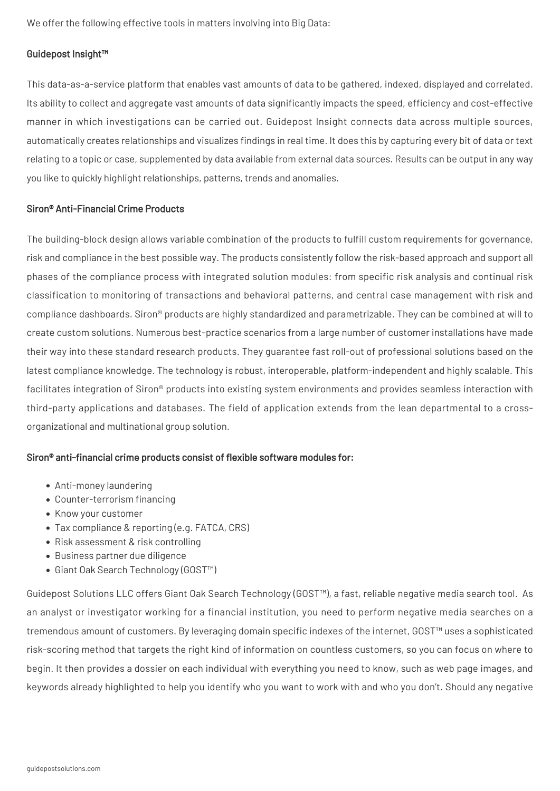We offer the following effective tools in matters involving into Big Data:

#### Guidepost Insight™

This data-as-a-service platform that enables vast amounts of data to be gathered, indexed, displayed and correlated. Its ability to collect and aggregate vast amounts of data significantly impacts the speed, efficiency and cost-effective manner in which investigations can be carried out. Guidepost Insight connects data across multiple sources, automatically creates relationships and visualizes findings in real time. It does this by capturing every bit of data or text relating to a topic or case, supplemented by data available from external data sources. Results can be output in any way you like to quickly highlight relationships, patterns, trends and anomalies.

#### Siron® Anti-Financial Crime Products

The building-block design allows variable combination of the products to fulfill custom requirements for governance, risk and compliance in the best possible way. The products consistently follow the risk-based approach and support all phases of the compliance process with integrated solution modules: from specific risk analysis and continual risk classification to monitoring of transactions and behavioral patterns, and central case management with risk and compliance dashboards. Siron® products are highly standardized and parametrizable. They can be combined at will to create custom solutions. Numerous best-practice scenarios from a large number of customer installations have made their way into these standard research products. They guarantee fast roll-out of professional solutions based on the latest compliance knowledge. The technology is robust, interoperable, platform-independent and highly scalable. This facilitates integration of Siron® products into existing system environments and provides seamless interaction with third-party applications and databases. The field of application extends from the lean departmental to a crossorganizational and multinational group solution.

#### Siron® anti-financial crime products consist of flexible software modules for:

- Anti-money laundering
- Counter-terrorism financing
- Know your customer
- Tax compliance & reporting (e.g. FATCA, CRS)
- Risk assessment & risk controlling
- Business partner due diligence
- Giant Oak Search Technology (GOST™)

Guidepost Solutions LLC offers Giant Oak Search Technology (GOST™), a fast, reliable negative media search tool. As an analyst or investigator working for a financial institution, you need to perform negative media searches on a tremendous amount of customers. By leveraging domain specific indexes of the internet, GOST™ uses a sophisticated risk-scoring method that targets the right kind of information on countless customers, so you can focus on where to begin. It then provides a dossier on each individual with everything you need to know, such as web page images, and keywords already highlighted to help you identify who you want to work with and who you don't. Should any negative